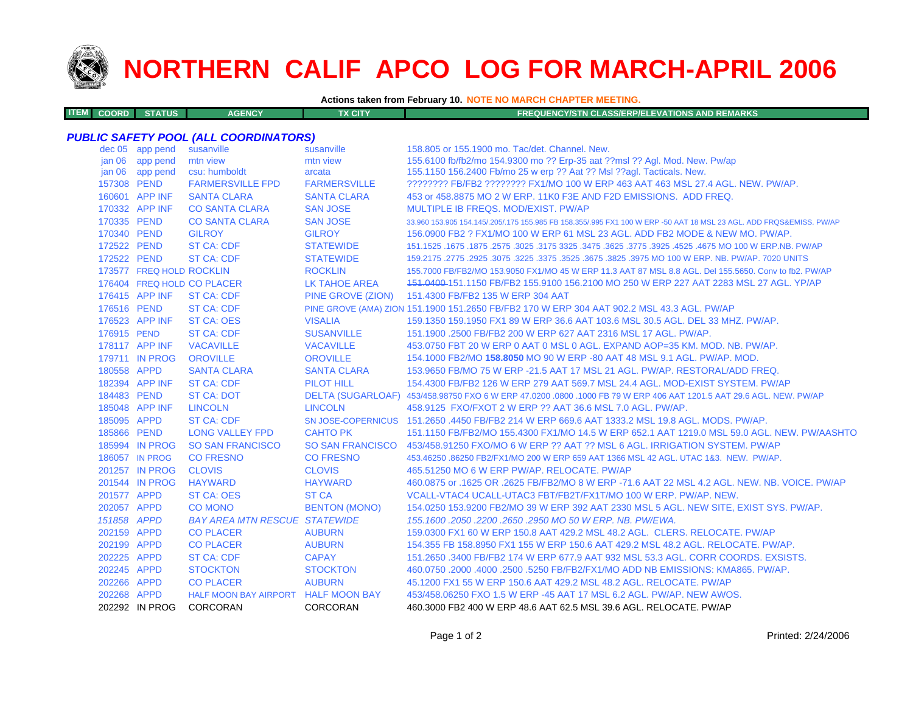

**ITEM**

## **NORTHERN CALIF APCO LOG FOR MARCH-APRIL 2006**

## **Actions taken from February 10. NOTE NO MARCH CHAPTER MEETING.**

| <b>M COORD STATUS</b><br><b>AGENCY</b><br>TX CITY | <b>FREQUENCY/STN CLASS/ERP/ELEVATIONS AND REMARKS</b> |
|---------------------------------------------------|-------------------------------------------------------|
|---------------------------------------------------|-------------------------------------------------------|

## *PUBLIC SAFETY POOL (ALL COORDINATORS)*

|                   | dec 05 app pend          | susanville                           | susanville              | 158.805 or 155.1900 mo. Tac/det. Channel. New.                                                                      |
|-------------------|--------------------------|--------------------------------------|-------------------------|---------------------------------------------------------------------------------------------------------------------|
|                   | jan 06 app pend          | mtn view                             | mtn view                | 155.6100 fb/fb2/mo 154.9300 mo ?? Erp-35 aat ??msl ?? Agl. Mod. New. Pw/ap                                          |
| jan <sub>06</sub> | app pend                 | csu: humboldt                        | arcata                  | 155.1150 156.2400 Fb/mo 25 w erp ?? Aat ?? Msl ??aql. Tacticals. New.                                               |
| 157308 PEND       |                          | <b>FARMERSVILLE FPD</b>              | <b>FARMERSVILLE</b>     | ???????? FB/FB2 ???????? FX1/MO 100 W ERP 463 AAT 463 MSL 27.4 AGL, NEW, PW/AP,                                     |
|                   | 160601 APP INF           | <b>SANTA CLARA</b>                   | <b>SANTA CLARA</b>      | 453 or 458,8875 MO 2 W ERP, 11K0 F3E AND F2D EMISSIONS. ADD FREQ.                                                   |
|                   | 170332 APP INF           | <b>CO SANTA CLARA</b>                | <b>SAN JOSE</b>         | MULTIPLE IB FREQS, MOD/EXIST, PW/AP                                                                                 |
| 170335 PEND       |                          | <b>CO SANTA CLARA</b>                | <b>SAN JOSE</b>         | 33.960 153.905 154.145/.205/.175 155.985 FB 158.355/.995 FX1 100 W ERP -50 AAT 18 MSL 23 AGL. ADD FRQS&EMISS. PW/AP |
| 170340 PEND       |                          | <b>GILROY</b>                        | <b>GILROY</b>           | 156,0900 FB2 ? FX1/MO 100 W ERP 61 MSL 23 AGL, ADD FB2 MODE & NEW MO, PW/AP.                                        |
| 172522 PEND       |                          | <b>ST CA: CDF</b>                    | <b>STATEWIDE</b>        | 151.1525 .1675 NO 100 W ERP.NB. PW/AP .2575 .3625 .3475 .3625 .3475 .3625 .3175 .3025 .1675 .1675 .1675 .1675       |
| 172522 PEND       |                          | <b>ST CA: CDF</b>                    | <b>STATEWIDE</b>        | 159.2175 .2775 .2925 .3075 .3225 .3375 .3525 .3675 .3825 .3975 MO 100 W ERP. NB. PW/AP. 7020 UNITS                  |
|                   | 173577 FREQ HOLD ROCKLIN |                                      | <b>ROCKLIN</b>          | 155.7000 FB/FB2/MO 153.9050 FX1/MO 45 W ERP 11.3 AAT 87 MSL 8.8 AGL. Del 155.5650. Conv to fb2. PW/AP               |
|                   |                          | 176404 FREQ HOLD CO PLACER           | <b>LK TAHOE AREA</b>    | 151.0400-151.1150 FB/FB2 155.9100 156.2100 MO 250 W ERP 227 AAT 2283 MSL 27 AGL. YP/AP                              |
|                   | 176415 APP INF           | <b>ST CA: CDF</b>                    | PINE GROVE (ZION)       | 151.4300 FB/FB2 135 W ERP 304 AAT                                                                                   |
| 176516 PEND       |                          | ST CA: CDF                           |                         | PINE GROVE (AMA) ZION 151.1900 151.2650 FB/FB2 170 W ERP 304 AAT 902.2 MSL 43.3 AGL. PW/AP                          |
|                   | 176523 APP INF           | <b>ST CA: OES</b>                    | <b>VISALIA</b>          | 159.1350 159.1950 FX1 89 W ERP 36.6 AAT 103.6 MSL 30.5 AGL. DEL 33 MHZ. PW/AP.                                      |
| 176915 PEND       |                          | <b>ST CA: CDF</b>                    | <b>SUSANVILLE</b>       | 151.1900 .2500 FB/FB2 200 W ERP 627 AAT 2316 MSL 17 AGL. PW/AP.                                                     |
|                   | 178117 APP INF           | <b>VACAVILLE</b>                     | <b>VACAVILLE</b>        | 453.0750 FBT 20 W ERP 0 AAT 0 MSL 0 AGL, EXPAND AOP=35 KM, MOD, NB, PW/AP,                                          |
|                   | 179711 IN PROG           | <b>OROVILLE</b>                      | <b>OROVILLE</b>         | 154.1000 FB2/MO 158.8050 MO 90 W ERP -80 AAT 48 MSL 9.1 AGL, PW/AP, MOD,                                            |
| 180558 APPD       |                          | <b>SANTA CLARA</b>                   | <b>SANTA CLARA</b>      | 153,9650 FB/MO 75 W ERP -21.5 AAT 17 MSL 21 AGL, PW/AP, RESTORAL/ADD FREQ.                                          |
|                   | 182394 APP INF           | <b>ST CA: CDF</b>                    | PILOT HILL              | 154,4300 FB/FB2 126 W ERP 279 AAT 569.7 MSL 24.4 AGL, MOD-EXIST SYSTEM, PW/AP                                       |
| 184483 PEND       |                          | <b>ST CA: DOT</b>                    |                         | DELTA (SUGARLOAF) 453/458.98750 FXO 6 W ERP 47.0200 .0800 .1000 FB 79 W ERP 406 AAT 1201.5 AAT 29.6 AGL. NEW. PW/AP |
|                   | 185048 APP INF           | <b>LINCOLN</b>                       | <b>LINCOLN</b>          | 458.9125 FXO/FXOT 2 W ERP ?? AAT 36.6 MSL 7.0 AGL. PW/AP.                                                           |
| 185095 APPD       |                          | <b>ST CA: CDF</b>                    |                         | SN JOSE-COPERNICUS 151.2650 .4450 FB/FB2 214 W ERP 669.6 AAT 1333.2 MSL 19.8 AGL. MODS. PW/AP.                      |
| 185866 PEND       |                          | <b>LONG VALLEY FPD</b>               | <b>CAHTO PK</b>         | 151.1150 FB/FB2/MO 155.4300 FX1/MO 14.5 W ERP 652.1 AAT 1219.0 MSL 59.0 AGL. NEW. PW/AASHTO                         |
|                   | 185994 IN PROG           | <b>SO SAN FRANCISCO</b>              | <b>SO SAN FRANCISCO</b> | 453/458.91250 FXO/MO 6 W ERP ?? AAT ?? MSL 6 AGL. IRRIGATION SYSTEM. PW/AP                                          |
|                   | 186057 IN PROG           | <b>CO FRESNO</b>                     | <b>CO FRESNO</b>        | 453.46250 .86250 FB2/FX1/MO 200 W ERP 659 AAT 1366 MSL 42 AGL, UTAC 1&3, NEW, PW/AP,                                |
|                   | 201257 IN PROG           | <b>CLOVIS</b>                        | <b>CLOVIS</b>           | 465.51250 MO 6 W ERP PW/AP, RELOCATE, PW/AP                                                                         |
|                   | 201544 IN PROG           | <b>HAYWARD</b>                       | <b>HAYWARD</b>          | 460.0875 or .1625 OR .2625 FB/FB2/MO 8 W ERP -71.6 AAT 22 MSL 4.2 AGL. NEW. NB. VOICE. PW/AP                        |
| 201577 APPD       |                          | <b>ST CA: OES</b>                    | <b>ST CA</b>            | VCALL-VTAC4 UCALL-UTAC3 FBT/FB2T/FX1T/MO 100 W ERP. PW/AP. NEW.                                                     |
| 202057 APPD       |                          | <b>CO MONO</b>                       | <b>BENTON (MONO)</b>    | 154.0250 153.9200 FB2/MO 39 W ERP 392 AAT 2330 MSL 5 AGL. NEW SITE, EXIST SYS. PW/AP.                               |
| 151858 APPD       |                          | <b>BAY AREA MTN RESCUE STATEWIDE</b> |                         | 155, 1600, 2050, 2200, 2650, 2950 MO 50 W ERP, NB, PW/EWA,                                                          |
| 202159 APPD       |                          | <b>CO PLACER</b>                     | <b>AUBURN</b>           | 159,0300 FX1 60 W ERP 150.8 AAT 429.2 MSL 48.2 AGL. CLERS. RELOCATE. PW/AP                                          |
| 202199 APPD       |                          | <b>CO PLACER</b>                     | <b>AUBURN</b>           | 154,355 FB 158,8950 FX1 155 W ERP 150.6 AAT 429.2 MSL 48.2 AGL, RELOCATE, PW/AP.                                    |
| 202225 APPD       |                          | <b>ST CA: CDF</b>                    | <b>CAPAY</b>            | 151.2650 .3400 FB/FB2 174 W ERP 677.9 AAT 932 MSL 53.3 AGL, CORR COORDS, EXSISTS,                                   |
| 202245 APPD       |                          | <b>STOCKTON</b>                      | <b>STOCKTON</b>         | 460.0750 .2000 .4000 .2500 .5250 FB/FB2/FX1/MO ADD NB EMISSIONS: KMA865, PW/AP.                                     |
| 202266 APPD       |                          | <b>CO PLACER</b>                     | <b>AUBURN</b>           | 45.1200 FX1 55 W ERP 150.6 AAT 429.2 MSL 48.2 AGL, RELOCATE, PW/AP                                                  |
| 202268 APPD       |                          | HALF MOON BAY AIRPORT HALF MOON BAY  |                         | 453/458,06250 FXO 1.5 W ERP -45 AAT 17 MSL 6.2 AGL, PW/AP, NEW AWOS.                                                |
|                   | 202292 IN PROG           | CORCORAN                             | CORCORAN                | 460.3000 FB2 400 W ERP 48.6 AAT 62.5 MSL 39.6 AGL. RELOCATE. PW/AP                                                  |
|                   |                          |                                      |                         |                                                                                                                     |